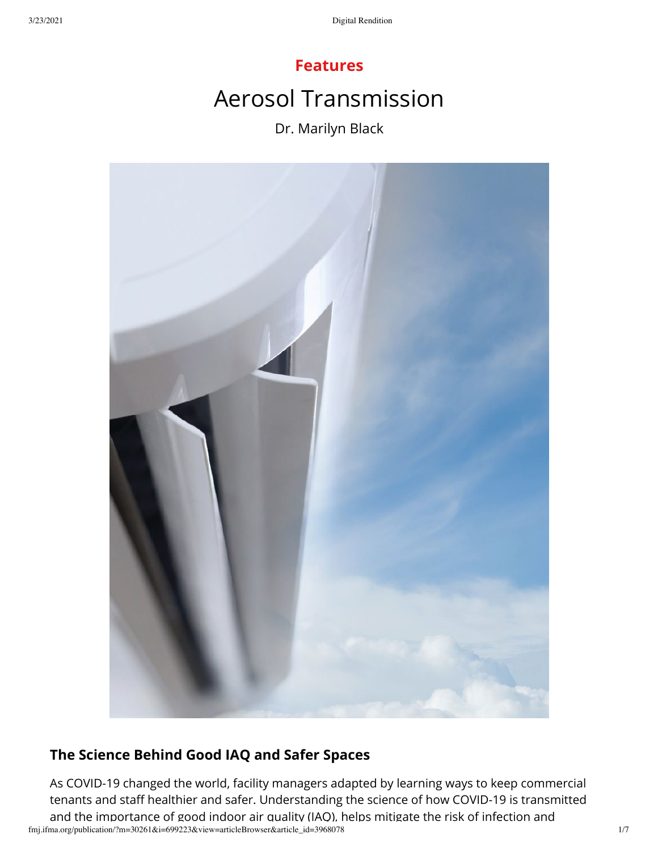# **Features** Aerosol Transmission Dr. Marilyn Black



# **The Science Behind Good IAQ and Safer Spaces**

fmj.ifma.org/publication/?m=30261&i=699223&view=articleBrowser&article\_id=3968078 1/7 As COVID-19 changed the world, facility managers adapted by learning ways to keep commercial tenants and staff healthier and safer. Understanding the science of how COVID-19 is transmitted and the importance of good indoor air quality (IAQ), helps mitigate the risk of infection and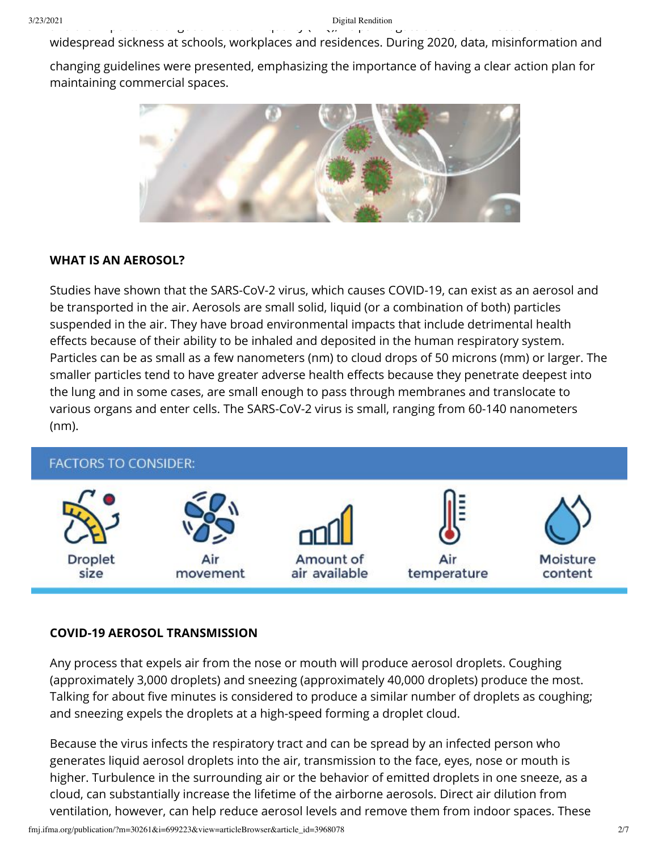widespread sickness at schools, workplaces and residences. During 2020, data, misinformation and

changing guidelines were presented, emphasizing the importance of having a clear action plan for maintaining commercial spaces.



### **WHAT IS AN AEROSOL?**

Studies have shown that the SARS-CoV-2 virus, which causes COVID-19, can exist as an aerosol and be transported in the air. Aerosols are small solid, liquid (or a combination of both) particles suspended in the air. They have broad environmental impacts that include detrimental health effects because of their ability to be inhaled and deposited in the human respiratory system. Particles can be as small as a few nanometers (nm) to cloud drops of 50 microns (mm) or larger. The smaller particles tend to have greater adverse health effects because they penetrate deepest into the lung and in some cases, are small enough to pass through membranes and translocate to various organs and enter cells. The SARS-CoV-2 virus is small, ranging from 60-140 nanometers (nm).



#### **COVID-19 AEROSOL TRANSMISSION**

Any process that expels air from the nose or mouth will produce aerosol droplets. Coughing (approximately 3,000 droplets) and sneezing (approximately 40,000 droplets) produce the most. Talking for about five minutes is considered to produce a similar number of droplets as coughing; and sneezing expels the droplets at a high-speed forming a droplet cloud.

Because the virus infects the respiratory tract and can be spread by an infected person who generates liquid aerosol droplets into the air, transmission to the face, eyes, nose or mouth is higher. Turbulence in the surrounding air or the behavior of emitted droplets in one sneeze, as a cloud, can substantially increase the lifetime of the airborne aerosols. Direct air dilution from ventilation, however, can help reduce aerosol levels and remove them from indoor spaces. These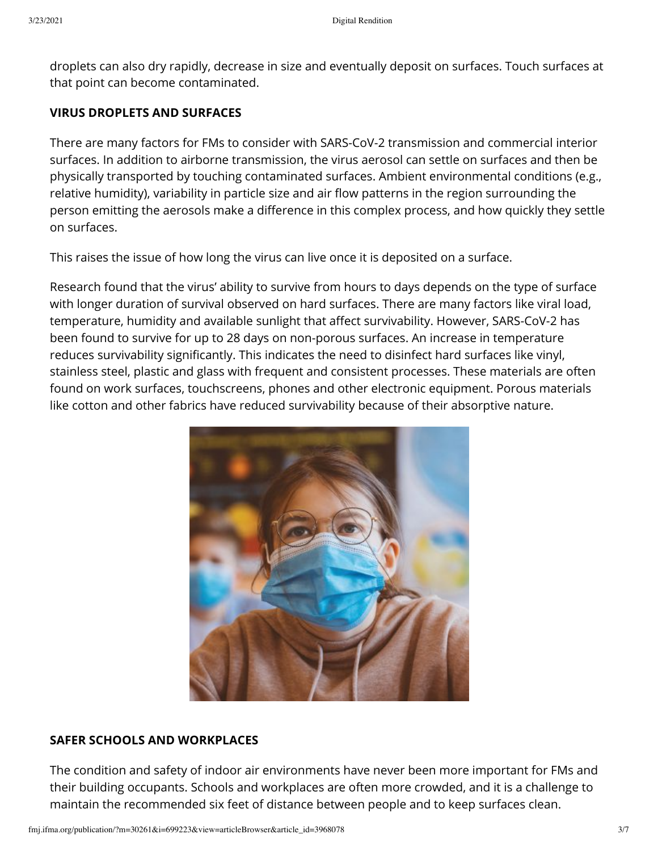droplets can also dry rapidly, decrease in size and eventually deposit on surfaces. Touch surfaces at that point can become contaminated.

## **VIRUS DROPLETS AND SURFACES**

There are many factors for FMs to consider with SARS-CoV-2 transmission and commercial interior surfaces. In addition to airborne transmission, the virus aerosol can settle on surfaces and then be physically transported by touching contaminated surfaces. Ambient environmental conditions (e.g., relative humidity), variability in particle size and air flow patterns in the region surrounding the person emitting the aerosols make a difference in this complex process, and how quickly they settle on surfaces.

This raises the issue of how long the virus can live once it is deposited on a surface.

Research found that the virus' ability to survive from hours to days depends on the type of surface with longer duration of survival observed on hard surfaces. There are many factors like viral load, temperature, humidity and available sunlight that affect survivability. However, SARS-CoV-2 has been found to survive for up to 28 days on non-porous surfaces. An increase in temperature reduces survivability significantly. This indicates the need to disinfect hard surfaces like vinyl, stainless steel, plastic and glass with frequent and consistent processes. These materials are often found on work surfaces, touchscreens, phones and other electronic equipment. Porous materials like cotton and other fabrics have reduced survivability because of their absorptive nature.



# **SAFER SCHOOLS AND WORKPLACES**

The condition and safety of indoor air environments have never been more important for FMs and their building occupants. Schools and workplaces are often more crowded, and it is a challenge to maintain the recommended six feet of distance between people and to keep surfaces clean.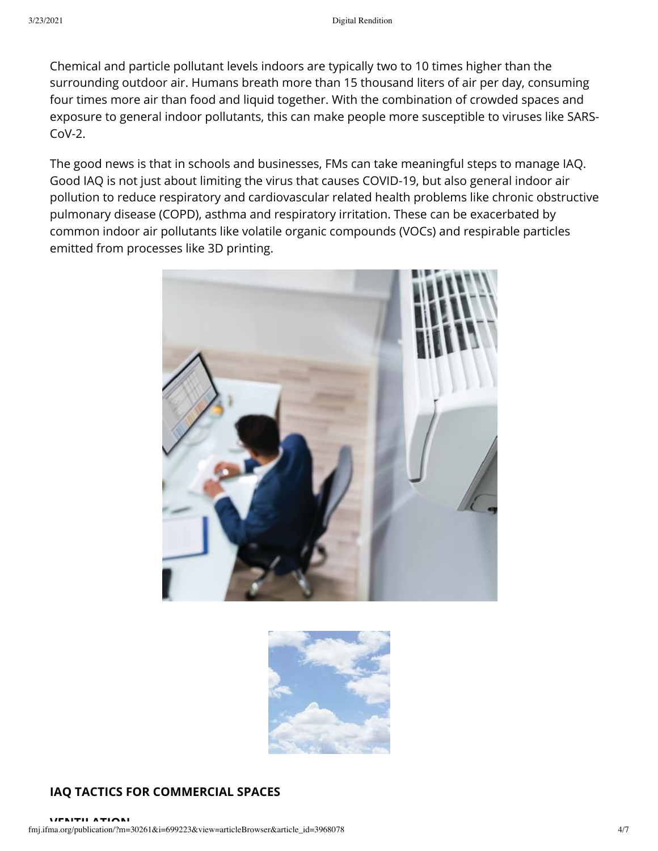Chemical and particle pollutant levels indoors are typically two to 10 times higher than the surrounding outdoor air. Humans breath more than 15 thousand liters of air per day, consuming four times more air than food and liquid together. With the combination of crowded spaces and exposure to general indoor pollutants, this can make people more susceptible to viruses like SARS- $C_0V-2$ .

The good news is that in schools and businesses, FMs can take meaningful steps to manage IAQ. Good IAQ is not just about limiting the virus that causes COVID-19, but also general indoor air pollution to reduce respiratory and cardiovascular related health problems like chronic obstructive pulmonary disease (COPD), asthma and respiratory irritation. These can be exacerbated by common indoor air pollutants like volatile organic compounds (VOCs) and respirable particles emitted from processes like 3D printing.





# **IAQ TACTICS FOR COMMERCIAL SPACES**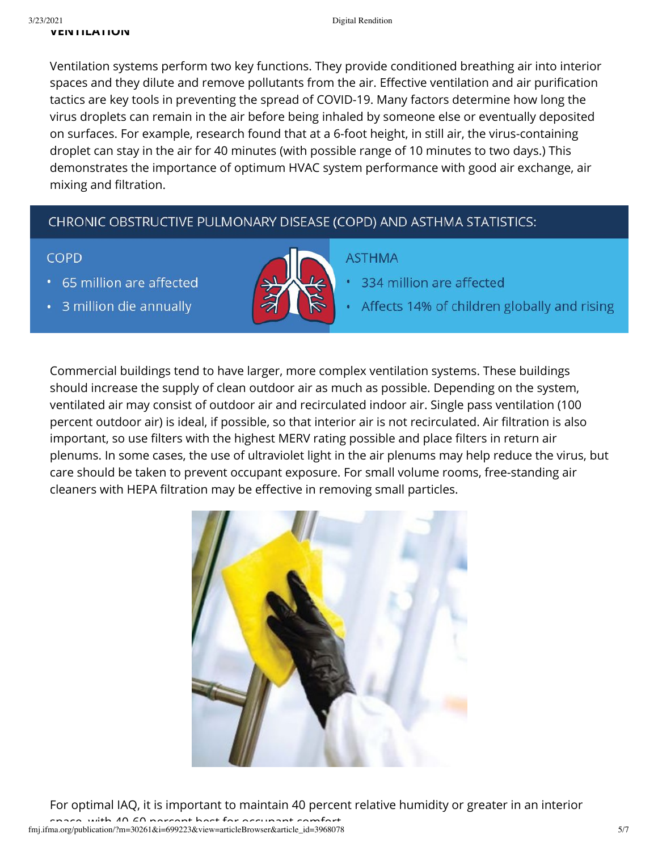Ventilation systems perform two key functions. They provide conditioned breathing air into interior spaces and they dilute and remove pollutants from the air. Effective ventilation and air purification tactics are key tools in preventing the spread of COVID-19. Many factors determine how long the virus droplets can remain in the air before being inhaled by someone else or eventually deposited on surfaces. For example, research found that at a 6-foot height, in still air, the virus-containing droplet can stay in the air for 40 minutes (with possible range of 10 minutes to two days.) This demonstrates the importance of optimum HVAC system performance with good air exchange, air mixing and filtration.

# CHRONIC OBSTRUCTIVE PULMONARY DISEASE (COPD) AND ASTHMA STATISTICS:

# **COPD**

65 million are affected

3 million die annually



# **ASTHMA**

- 334 million are affected
- Affects 14% of children globally and rising

Commercial buildings tend to have larger, more complex ventilation systems. These buildings should increase the supply of clean outdoor air as much as possible. Depending on the system, ventilated air may consist of outdoor air and recirculated indoor air. Single pass ventilation (100 percent outdoor air) is ideal, if possible, so that interior air is not recirculated. Air filtration is also important, so use filters with the highest MERV rating possible and place filters in return air plenums. In some cases, the use of ultraviolet light in the air plenums may help reduce the virus, but care should be taken to prevent occupant exposure. For small volume rooms, free-standing air cleaners with HEPA filtration may be effective in removing small particles.



For optimal IAQ, it is important to maintain 40 percent relative humidity or greater in an interior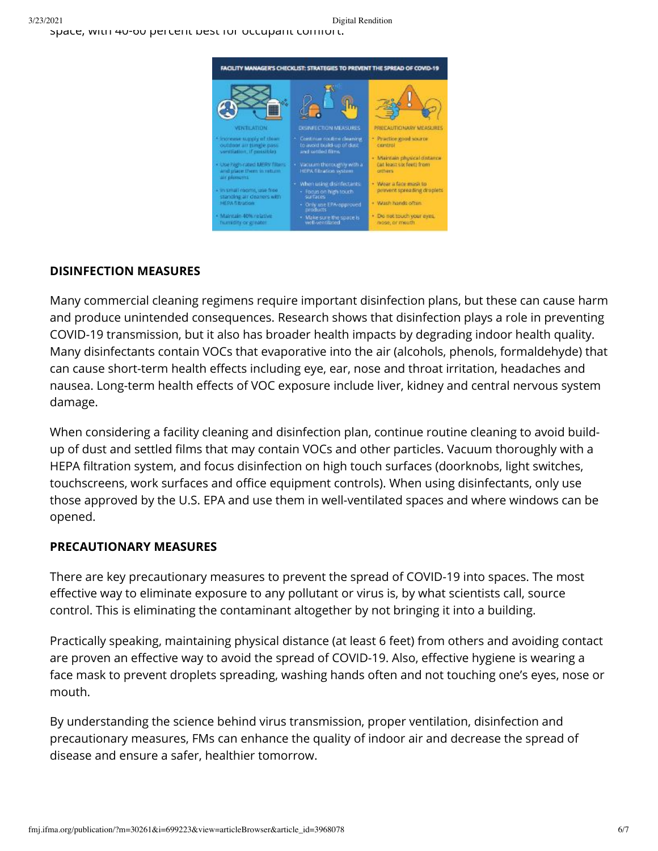

# **DISINFECTION MEASURES**

Many commercial cleaning regimens require important disinfection plans, but these can cause harm and produce unintended consequences. Research shows that disinfection plays a role in preventing COVID-19 transmission, but it also has broader health impacts by degrading indoor health quality. Many disinfectants contain VOCs that evaporative into the air (alcohols, phenols, formaldehyde) that can cause short-term health effects including eye, ear, nose and throat irritation, headaches and nausea. Long-term health effects of VOC exposure include liver, kidney and central nervous system damage.

When considering a facility cleaning and disinfection plan, continue routine cleaning to avoid buildup of dust and settled films that may contain VOCs and other particles. Vacuum thoroughly with a HEPA filtration system, and focus disinfection on high touch surfaces (doorknobs, light switches, touchscreens, work surfaces and office equipment controls). When using disinfectants, only use those approved by the U.S. EPA and use them in well-ventilated spaces and where windows can be opened.

# **PRECAUTIONARY MEASURES**

There are key precautionary measures to prevent the spread of COVID-19 into spaces. The most effective way to eliminate exposure to any pollutant or virus is, by what scientists call, source control. This is eliminating the contaminant altogether by not bringing it into a building.

Practically speaking, maintaining physical distance (at least 6 feet) from others and avoiding contact are proven an effective way to avoid the spread of COVID-19. Also, effective hygiene is wearing a face mask to prevent droplets spreading, washing hands often and not touching one's eyes, nose or mouth.

By understanding the science behind virus transmission, proper ventilation, disinfection and precautionary measures, FMs can enhance the quality of indoor air and decrease the spread of disease and ensure a safer, healthier tomorrow.